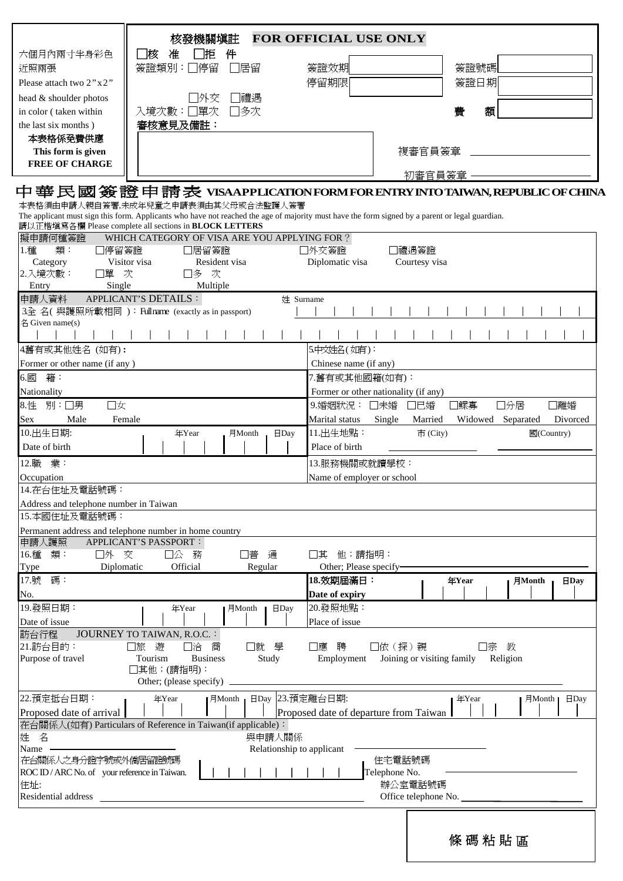|                                               | 核發機關塡註                                                                                                                                          | <b>FOR OFFICIAL USE ONLY</b>           |                                                                                 |
|-----------------------------------------------|-------------------------------------------------------------------------------------------------------------------------------------------------|----------------------------------------|---------------------------------------------------------------------------------|
| 六個月內兩寸半身彩色                                    | 准<br>件<br> 核<br>拒                                                                                                                               |                                        |                                                                                 |
| 近照兩張                                          | 簽證類別:<br>□停留<br>]居留                                                                                                                             | 簽證效期                                   | 簽證號碼                                                                            |
| Please attach two 2"x2"                       |                                                                                                                                                 | 停留期限                                   | 簽證日期                                                                            |
|                                               |                                                                                                                                                 |                                        |                                                                                 |
| head & shoulder photos                        | 禮遇<br>冰交                                                                                                                                        |                                        |                                                                                 |
| in color (taken within                        | 入境次數:□單次<br>7多次                                                                                                                                 |                                        | 額<br>費                                                                          |
| the last six months)                          | 審核意見及備註:                                                                                                                                        |                                        |                                                                                 |
| 本表格係免費供應                                      |                                                                                                                                                 |                                        |                                                                                 |
| This form is given                            |                                                                                                                                                 |                                        | 複審官員簽章                                                                          |
| <b>FREE OF CHARGE</b>                         |                                                                                                                                                 |                                        |                                                                                 |
|                                               |                                                                                                                                                 |                                        | 初審官員簽章<br>中華民國簽證申請表 VISAAPPLICATIONFORMFOR ENTRY INTO TAIWAN, REPUBLIC OF CHINA |
|                                               | 本表格須由申請人親自簽署,未成年兒童之申請表須由其父母或合法監護人簽署                                                                                                             |                                        |                                                                                 |
|                                               | The applicant must sign this form. Applicants who have not reached the age of majority must have the form signed by a parent or legal guardian. |                                        |                                                                                 |
|                                               | 請以正楷填寫各欄 Please complete all sections in <b>BLOCK LETTERS</b>                                                                                   |                                        |                                                                                 |
| 擬申請何種簽證                                       | WHICH CATEGORY OF VISA ARE YOU APPLYING FOR ?                                                                                                   |                                        |                                                                                 |
| 1.種<br>類:<br> 停留簽證                            | □居留簽證                                                                                                                                           | □外交簽證                                  | 禮遇簽證                                                                            |
| Category                                      | Visitor visa<br>Resident visa                                                                                                                   | Diplomatic visa                        | Courtesy visa                                                                   |
| 2.入境次數:<br>單                                  | 次<br>次<br>コ多                                                                                                                                    |                                        |                                                                                 |
| Single<br>Entry                               | Multiple                                                                                                                                        |                                        |                                                                                 |
| 申請人資料                                         | APPLICANT'S DETAILS :<br>姓 Surname                                                                                                              |                                        |                                                                                 |
|                                               | 3全名(與護照所載相同): Fullname (exactly as in passport)                                                                                                 |                                        |                                                                                 |
| 名 Given name(s)                               |                                                                                                                                                 |                                        |                                                                                 |
|                                               |                                                                                                                                                 |                                        |                                                                                 |
| 4舊有或其他姓名 (如有):                                |                                                                                                                                                 | 5.中文姓名(如有):                            |                                                                                 |
| Former or other name (if any)                 |                                                                                                                                                 | Chinese name (if any)                  |                                                                                 |
| 籍:<br>6.國                                     |                                                                                                                                                 | 7.舊有或其他國籍(如有):                         |                                                                                 |
| Nationality                                   |                                                                                                                                                 | Former or other nationality (if any)   |                                                                                 |
| 8.性<br>別:□男<br>口女                             |                                                                                                                                                 | 9.婚姻狀況:<br>□未婚                         | □已婚<br>■鰥寡<br>□分居<br>離婚                                                         |
| Male<br>Sex                                   | Female                                                                                                                                          | Marital status<br>Single               | Married<br>Widowed<br>Divorced<br>Separated                                     |
| 10.出生日期:                                      | 年Year<br>月Month<br>$\Box$ Day                                                                                                                   | 11.出生地點:                               | 國(Country)<br>$\overline{\Pi}$ (City)                                           |
| Date of birth                                 |                                                                                                                                                 | Place of birth                         |                                                                                 |
|                                               |                                                                                                                                                 |                                        |                                                                                 |
| 12.職 業:                                       |                                                                                                                                                 | 13.服務機關或就讀學校:                          |                                                                                 |
| Occupation                                    |                                                                                                                                                 | Name of employer or school             |                                                                                 |
| 14.在台住址及電話號碼:                                 |                                                                                                                                                 |                                        |                                                                                 |
| Address and telephone number in Taiwan        |                                                                                                                                                 |                                        |                                                                                 |
| 15.本國住址及電話號碼:                                 |                                                                                                                                                 |                                        |                                                                                 |
|                                               | Permanent address and telephone number in home country                                                                                          |                                        |                                                                                 |
| 申請人護照                                         | APPLICANT'S PASSPORT :                                                                                                                          |                                        |                                                                                 |
| 16.種 類:<br>口外 交                               | コ公 務<br>谱<br>通                                                                                                                                  | 他;請指明:<br>其                            |                                                                                 |
| Diplomatic<br>Type                            | Official<br>Regular                                                                                                                             | Other; Please specify-                 |                                                                                 |
| 17.號 碼:                                       |                                                                                                                                                 | 18.效期屆滿日:                              | 年Year<br>月Month<br>$H$ Day                                                      |
| No.                                           |                                                                                                                                                 | Date of expiry                         |                                                                                 |
| 19.發照日期:                                      | 年Year<br>月Month<br>$\Box$ Day                                                                                                                   | 20.發照地點:                               |                                                                                 |
| Date of issue                                 |                                                                                                                                                 | Place of issue                         |                                                                                 |
| 訪台行程                                          | JOURNEY TO TAIWAN, R.O.C. :                                                                                                                     |                                        |                                                                                 |
| 21.訪台目的:                                      | □旅<br>遊<br>□洽<br>□就<br>學<br>商                                                                                                                   | □依 (探)親<br>□應<br>聘                     | 教<br>宗                                                                          |
| Purpose of travel                             | Tourism<br>Study<br><b>Business</b>                                                                                                             | Employment                             | Joining or visiting family<br>Religion                                          |
|                                               | ]其他;(請指明):                                                                                                                                      |                                        |                                                                                 |
|                                               | Other; (please specify)                                                                                                                         |                                        |                                                                                 |
| 22.預定抵台日期:                                    | 日Day 23.預定離台日期:<br>年Year<br>$\vert$ $\exists$ Month $\vert$                                                                                     |                                        | 年Year<br>$\Box$ Day<br>$\exists$ Month $\blacksquare$                           |
| Proposed date of arrival                      |                                                                                                                                                 | Proposed date of departure from Taiwan |                                                                                 |
|                                               | 在台關係人(如有) Particulars of Reference in Taiwan(if applicable):                                                                                    |                                        |                                                                                 |
| 姓 名                                           | 與申請人關係                                                                                                                                          |                                        |                                                                                 |
| Name                                          | Relationship to applicant                                                                                                                       |                                        |                                                                                 |
| 在台關係人之身分證字號或外僑居留證號碼                           |                                                                                                                                                 |                                        | 住宅電話號碼                                                                          |
| ROC ID / ARC No. of your reference in Taiwan. |                                                                                                                                                 | Telephone No.                          |                                                                                 |
| 住址:                                           |                                                                                                                                                 |                                        | 辦公室電話號碼                                                                         |
| Residential address                           |                                                                                                                                                 |                                        | Office telephone No.                                                            |
|                                               |                                                                                                                                                 |                                        |                                                                                 |
|                                               |                                                                                                                                                 |                                        |                                                                                 |
|                                               |                                                                                                                                                 |                                        |                                                                                 |
|                                               |                                                                                                                                                 |                                        | 條碼粘貼區                                                                           |